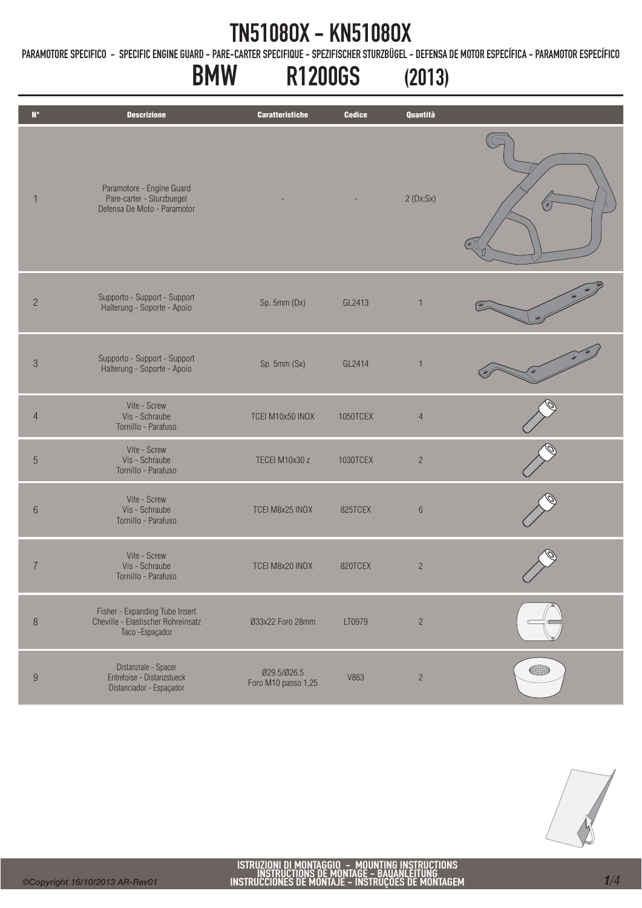PARAMOTORE SPECIFICO - SPECIFIC ENGINE GUARD - PARE-CARTER SPECIFIQUE - SPEZIFISCHER STURZBÜGEL - DEFENSA DE MOTOR ESPECÍFICA - PARAMOTOR ESPECÍFICO

# BMW R1200GS (2013)

| $\mathsf{N}^\circ$ | <b>Descrizione</b>                                                                      | <b>Caratteristiche</b>             | <b>Codice</b> | Quantità       |            |
|--------------------|-----------------------------------------------------------------------------------------|------------------------------------|---------------|----------------|------------|
| $\mathbf{1}$       | Paramotore - Engine Guard<br>Pare-carter - Sturzbuegel<br>Defensa De Moto - Paramotor   |                                    |               | 2(Dx;Sx)       |            |
| $\overline{c}$     | Supporto - Support - Support<br>Halterung - Soporte - Apoio                             | Sp. 5mm (Dx)                       | GL2413        | $\mathbf{1}$   |            |
| $\mathfrak{Z}$     | Supporto - Support - Support<br>Halterung - Soporte - Apoio                             | Sp. 5mm (Sx)                       | GL2414        | $\mathbf{1}$   |            |
| $\overline{4}$     | Vite - Screw<br>Vis - Schraube<br>Tornillo - Parafuso                                   | TCEI M10x50 INOX                   | 1050TCEX      | $\overline{4}$ |            |
| $\overline{5}$     | Vite - Screw<br>Vis - Schraube<br>Tornillo - Parafuso                                   | TECEI M10x30 z                     | 1030TCEX      | $\overline{c}$ |            |
| $\,6\,$            | Vite - Screw<br>Vis - Schraube<br>Tornillo - Parafuso                                   | TCEI M8x25 INOX                    | 825TCEX       | $6\,$          |            |
| $\overline{7}$     | Vite - Screw<br>Vis - Schraube<br>Tornillo - Parafuso                                   | TCEI M8x20 INOX                    | 820TCEX       | $\overline{c}$ | $\tilde{}$ |
| $\, 8$             | Fisher - Expanding Tube Insert<br>Cheville - Elastischer Rohreinsatz<br>Taco -Espaçador | Ø33x22 Foro 28mm                   | LT0979        | $\sqrt{2}$     |            |
| $\boldsymbol{9}$   | Distanziale - Spacer<br>Entretoise - Distanzstueck<br>Distanciador - Espaçador          | Ø29.5/Ø26.5<br>Foro M10 passo 1,25 | V863          | $\sqrt{2}$     |            |

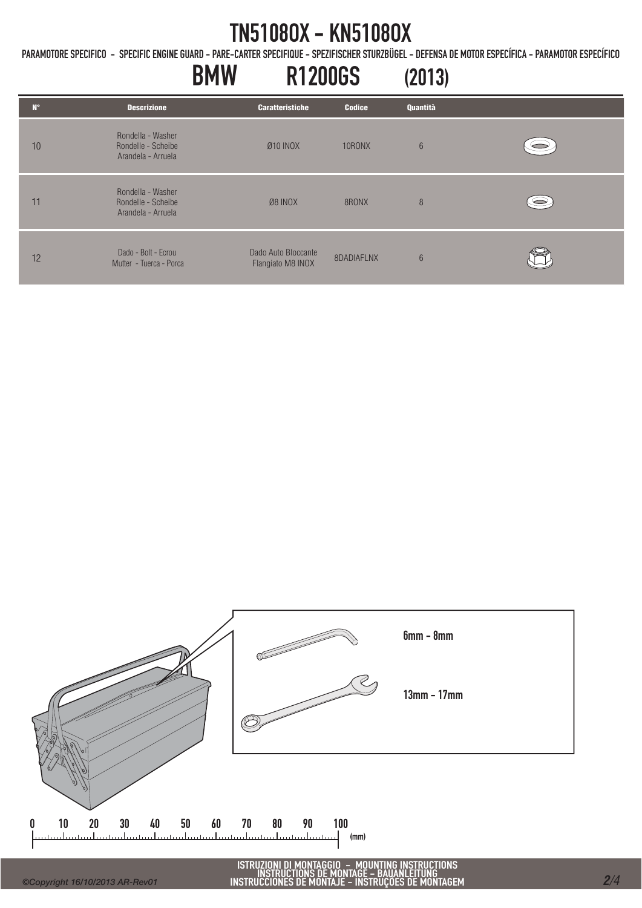PARAMOTORE SPECIFICO - SPECIFIC ENGINE GUARD - PARE-CARTER SPECIFIQUE - SPEZIFISCHER STURZBÜGEL - DEFENSA DE MOTOR ESPECÍFICA - PARAMOTOR ESPECÍFICO

#### BMW R1200GS (2013) N° Descrizione Caratteristiche Codice Quantità Rondella - Washer 10 Rondelle - Scheibe Ø10 INOX 10RONX 6 Arandela - Arruela Rondella - Washer  $\circledcirc$ 11 Rondelle - Scheibe Ø8 INOX 8RONX 8 Arandela - Arruela 12 Dado - Bolt - Ecrou Dado Auto Bloccante Dado Auto Bioccante<br>Flangiato M8 INOX 8DADIAFLNX 6 Mutter - Tuerca - Porca



ISTRUZIONI DI MONTAGGIO - MOUNTING INSTRUCTIONS INSTRUCTIONS DE MONTAGE - BAUANLEITUNG INSTRUCCIONES DE MONTAJE - INSTRUÇÕES DE MONTAGEM *<sup>2</sup>/4*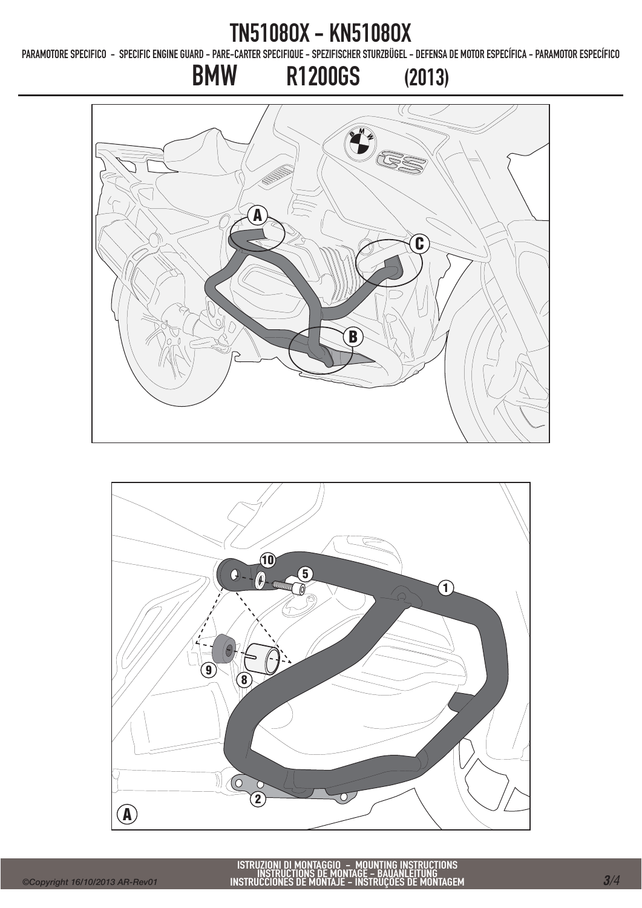PARAMOTORE SPECIFICO - SPECIFIC ENGINE GUARD - PARE-CARTER SPECIFIQUE - SPEZIFISCHER STURZBÜGEL - DEFENSA DE MOTOR ESPECÍFICA - PARAMOTOR ESPECÍFICO

BMW R1200GS (2013)

# $($   $\left($   $\right)$ A C  $\overline{O}$ B